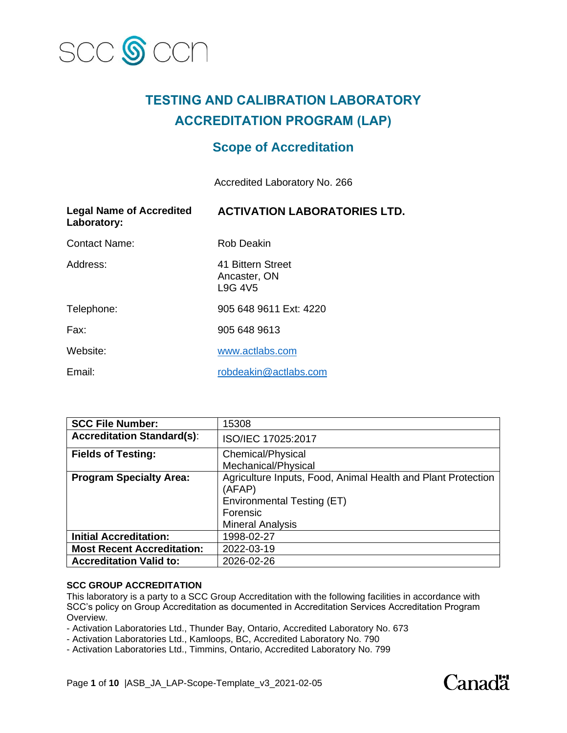

# **TESTING AND CALIBRATION LABORATORY ACCREDITATION PROGRAM (LAP)**

# **Scope of Accreditation**

Accredited Laboratory No. 266

| <b>Legal Name of Accredited</b><br>Laboratory: | <b>ACTIVATION LABORATORIES LTD.</b>                      |
|------------------------------------------------|----------------------------------------------------------|
| Contact Name:                                  | <b>Rob Deakin</b>                                        |
| Address:                                       | 41 Bittern Street<br>Ancaster, ON<br>L9G 4V <sub>5</sub> |
| Telephone:                                     | 905 648 9611 Ext: 4220                                   |
| Fax:                                           | 905 648 9613                                             |
| Website:                                       | www.actlabs.com                                          |
| Email:                                         | robdeakin@actlabs.com                                    |

| <b>SCC File Number:</b>           | 15308                                                                                                                                       |
|-----------------------------------|---------------------------------------------------------------------------------------------------------------------------------------------|
| <b>Accreditation Standard(s):</b> | ISO/IEC 17025:2017                                                                                                                          |
| <b>Fields of Testing:</b>         | Chemical/Physical<br>Mechanical/Physical                                                                                                    |
| <b>Program Specialty Area:</b>    | Agriculture Inputs, Food, Animal Health and Plant Protection<br>(AFAP)<br>Environmental Testing (ET)<br>Forensic<br><b>Mineral Analysis</b> |
| <b>Initial Accreditation:</b>     | 1998-02-27                                                                                                                                  |
| <b>Most Recent Accreditation:</b> | 2022-03-19                                                                                                                                  |
| <b>Accreditation Valid to:</b>    | 2026-02-26                                                                                                                                  |

#### **SCC GROUP ACCREDITATION**

This laboratory is a party to a SCC Group Accreditation with the following facilities in accordance with SCC's policy on Group Accreditation as documented in Accreditation Services Accreditation Program Overview.

- Activation Laboratories Ltd., Thunder Bay, Ontario, Accredited Laboratory No. 673

- Activation Laboratories Ltd., Kamloops, BC, Accredited Laboratory No. 790

- Activation Laboratories Ltd., Timmins, Ontario, Accredited Laboratory No. 799

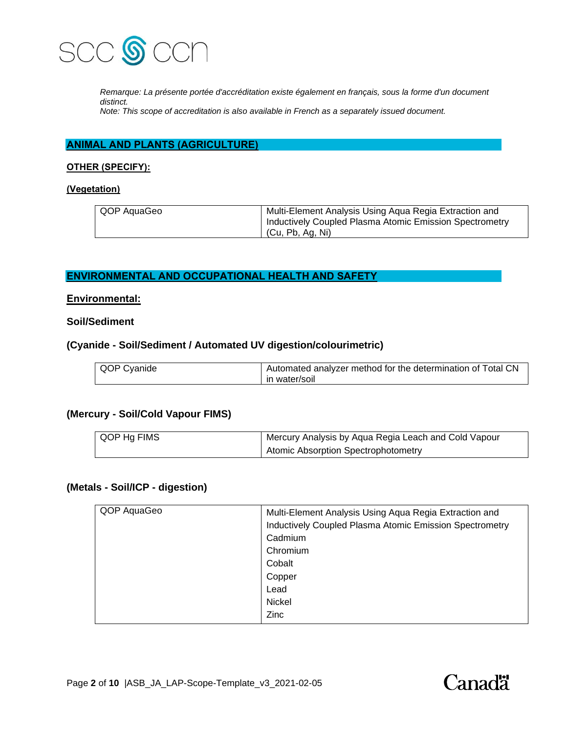

*Remarque: La présente portée d'accréditation existe également en français, sous la forme d'un document distinct.*

*Note: This scope of accreditation is also available in French as a separately issued document.*

### **ANIMAL AND PLANTS (AGRICULTURE)**

### **OTHER (SPECIFY):**

### **(Vegetation)**

| QOP AquaGeo | Multi-Element Analysis Using Aqua Regia Extraction and<br>Inductively Coupled Plasma Atomic Emission Spectrometry |
|-------------|-------------------------------------------------------------------------------------------------------------------|
|             | (Cu, Pb, Ag, Ni)                                                                                                  |

### **ENVIRONMENTAL AND OCCUPATIONAL HEALTH AND SAFETY**

### **Environmental:**

### **Soil/Sediment**

### **(Cyanide - Soil/Sediment / Automated UV digestion/colourimetric)**

| QOP Cyanide | Automated analyzer method for the determination of Total CN |
|-------------|-------------------------------------------------------------|
|             | in water/soil                                               |

### **(Mercury - Soil/Cold Vapour FIMS)**

| QOP Hg FIMS | Mercury Analysis by Aqua Regia Leach and Cold Vapour |
|-------------|------------------------------------------------------|
|             | Atomic Absorption Spectrophotometry                  |

### **(Metals - Soil/ICP - digestion)**

| QOP AquaGeo | Multi-Element Analysis Using Aqua Regia Extraction and  |
|-------------|---------------------------------------------------------|
|             | Inductively Coupled Plasma Atomic Emission Spectrometry |
|             | Cadmium                                                 |
|             | Chromium                                                |
|             | Cobalt                                                  |
|             | Copper                                                  |
|             | Lead                                                    |
|             | Nickel                                                  |
|             | Zinc                                                    |

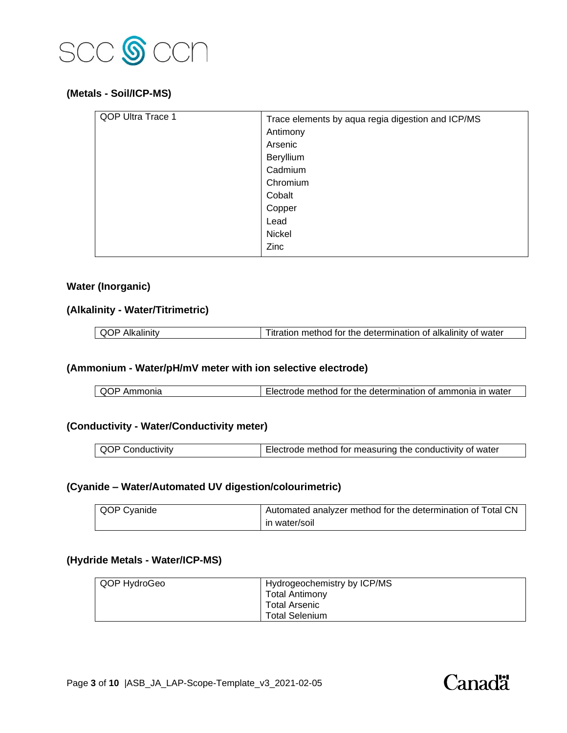

### **(Metals - Soil/ICP-MS)**

| QOP Ultra Trace 1 | Trace elements by aqua regia digestion and ICP/MS |
|-------------------|---------------------------------------------------|
|                   | Antimony                                          |
|                   | Arsenic                                           |
|                   | Beryllium                                         |
|                   | Cadmium                                           |
|                   | Chromium                                          |
|                   | Cobalt                                            |
|                   | Copper                                            |
|                   | Lead                                              |
|                   | Nickel                                            |
|                   | Zinc                                              |

### **Water (Inorganic)**

# **(Alkalinity - Water/Titrimetric)**

| $\Omega$ | $\alpha$ method for the determination of alkalinity $\epsilon$<br>. water<br>nt.<br>litration |
|----------|-----------------------------------------------------------------------------------------------|
|          |                                                                                               |

# **(Ammonium - Water/pH/mV meter with ion selective electrode)**

| QOP Ammonia | Electrode method for the determination of ammonia in water |
|-------------|------------------------------------------------------------|
|             |                                                            |

# **(Conductivity - Water/Conductivity meter)**

| <b>QOP Conductivity</b> | Electrode method for measuring the conductivity of water |
|-------------------------|----------------------------------------------------------|
|-------------------------|----------------------------------------------------------|

# **(Cyanide – Water/Automated UV digestion/colourimetric)**

| QOP Cyanide | Automated analyzer method for the determination of Total CN |
|-------------|-------------------------------------------------------------|
|             | l in water/soil                                             |

### **(Hydride Metals - Water/ICP-MS)**

| QOP HydroGeo | Hydrogeochemistry by ICP/MS |
|--------------|-----------------------------|
|              | Total Antimony              |
|              | Total Arsenic               |
|              | <b>Total Selenium</b>       |

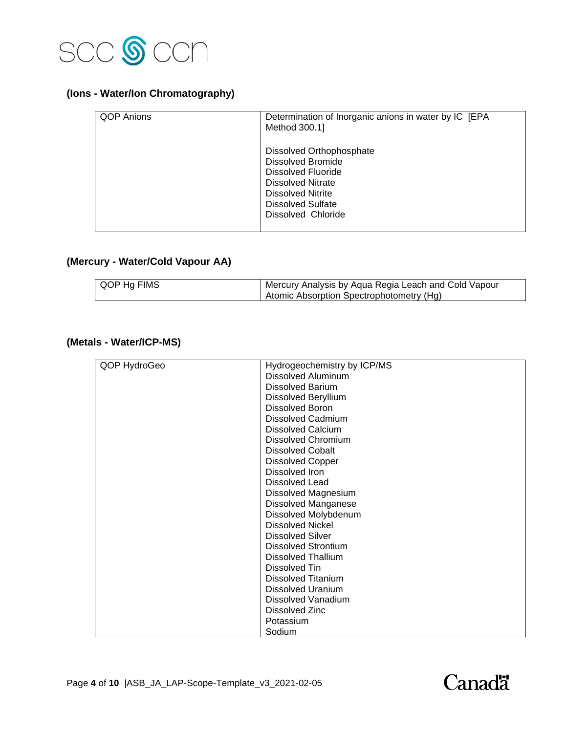

# **(Ions - Water/Ion Chromatography)**

| <b>QOP Anions</b> | Determination of Inorganic anions in water by IC [EPA<br>Method 300.1]                                                                                                               |
|-------------------|--------------------------------------------------------------------------------------------------------------------------------------------------------------------------------------|
|                   | Dissolved Orthophosphate<br><b>Dissolved Bromide</b><br>Dissolved Fluoride<br><b>Dissolved Nitrate</b><br>Dissolved Nitrite<br><b>Dissolved Sulfate</b><br><b>Dissolved Chloride</b> |

# **(Mercury - Water/Cold Vapour AA)**

| I QOP Hg FIMS | Mercury Analysis by Aqua Regia Leach and Cold Vapour |
|---------------|------------------------------------------------------|
|               | Atomic Absorption Spectrophotometry (Hg)             |

# **(Metals - Water/ICP-MS)**

| QOP HydroGeo | Hydrogeochemistry by ICP/MS |
|--------------|-----------------------------|
|              | <b>Dissolved Aluminum</b>   |
|              | <b>Dissolved Barium</b>     |
|              | Dissolved Beryllium         |
|              | <b>Dissolved Boron</b>      |
|              | <b>Dissolved Cadmium</b>    |
|              | <b>Dissolved Calcium</b>    |
|              | <b>Dissolved Chromium</b>   |
|              | <b>Dissolved Cobalt</b>     |
|              | <b>Dissolved Copper</b>     |
|              | Dissolved Iron              |
|              | <b>Dissolved Lead</b>       |
|              | Dissolved Magnesium         |
|              | <b>Dissolved Manganese</b>  |
|              | Dissolved Molybdenum        |
|              | <b>Dissolved Nickel</b>     |
|              | <b>Dissolved Silver</b>     |
|              | <b>Dissolved Strontium</b>  |
|              | <b>Dissolved Thallium</b>   |
|              | Dissolved Tin               |
|              | <b>Dissolved Titanium</b>   |
|              | <b>Dissolved Uranium</b>    |
|              | <b>Dissolved Vanadium</b>   |
|              | Dissolved Zinc              |
|              | Potassium                   |
|              | Sodium                      |

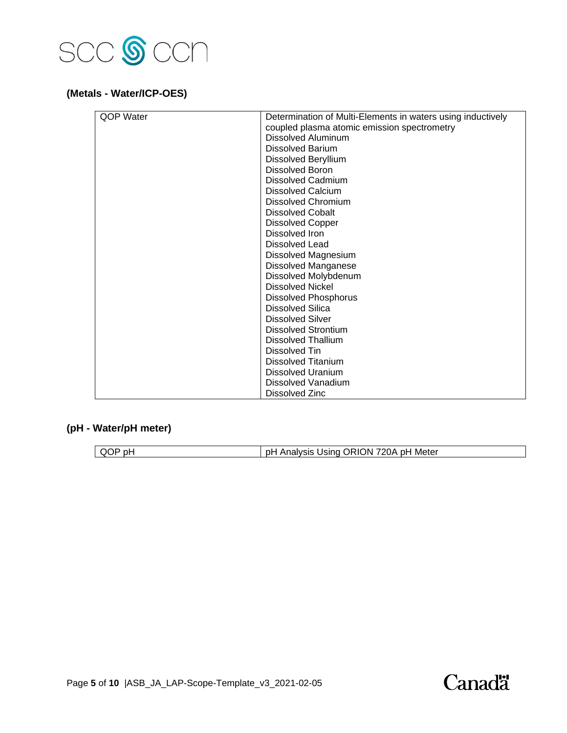

# **(Metals - Water/ICP-OES)**

| <b>OOP Water</b> | Determination of Multi-Elements in waters using inductively |
|------------------|-------------------------------------------------------------|
|                  | coupled plasma atomic emission spectrometry                 |
|                  | <b>Dissolved Aluminum</b>                                   |
|                  | <b>Dissolved Barium</b>                                     |
|                  | Dissolved Beryllium                                         |
|                  | <b>Dissolved Boron</b>                                      |
|                  | <b>Dissolved Cadmium</b>                                    |
|                  | <b>Dissolved Calcium</b>                                    |
|                  | Dissolved Chromium                                          |
|                  | Dissolved Cobalt                                            |
|                  | <b>Dissolved Copper</b>                                     |
|                  | Dissolved Iron                                              |
|                  | Dissolved Lead                                              |
|                  | Dissolved Magnesium                                         |
|                  | <b>Dissolved Manganese</b>                                  |
|                  | Dissolved Molybdenum                                        |
|                  | <b>Dissolved Nickel</b>                                     |
|                  | <b>Dissolved Phosphorus</b>                                 |
|                  | <b>Dissolved Silica</b>                                     |
|                  | <b>Dissolved Silver</b>                                     |
|                  | <b>Dissolved Strontium</b>                                  |
|                  | Dissolved Thallium                                          |
|                  | Dissolved Tin                                               |
|                  | Dissolved Titanium                                          |
|                  | Dissolved Uranium                                           |
|                  | Dissolved Vanadium                                          |
|                  | Dissolved Zinc                                              |

# **(pH - Water/pH meter)**

| ш | ЖI.<br>. ורי<br>.<br>$\sim$<br>Meter<br>D۲<br><br>_UP.<br>эr<br>יור<br>oю |  |
|---|---------------------------------------------------------------------------|--|

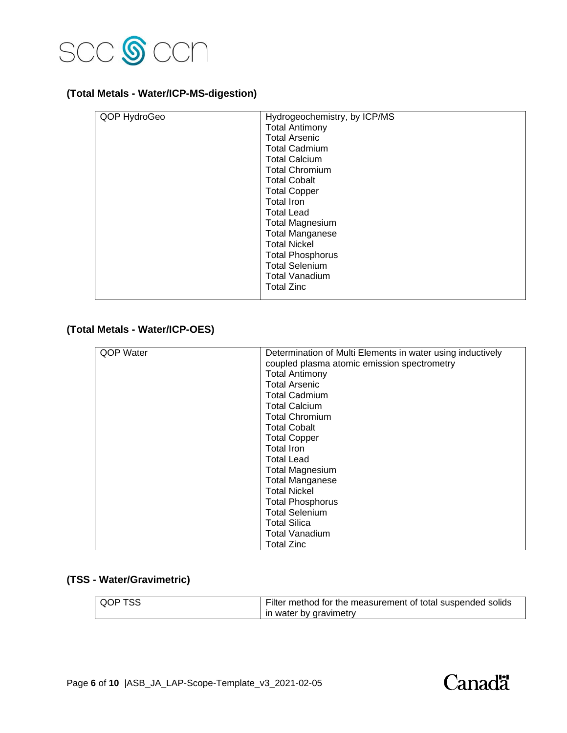

# **(Total Metals - Water/ICP-MS-digestion)**

| QOP HydroGeo | Hydrogeochemistry, by ICP/MS |
|--------------|------------------------------|
|              | <b>Total Antimony</b>        |
|              | <b>Total Arsenic</b>         |
|              | <b>Total Cadmium</b>         |
|              | <b>Total Calcium</b>         |
|              | <b>Total Chromium</b>        |
|              | <b>Total Cobalt</b>          |
|              | <b>Total Copper</b>          |
|              | <b>Total Iron</b>            |
|              | <b>Total Lead</b>            |
|              | <b>Total Magnesium</b>       |
|              | <b>Total Manganese</b>       |
|              | <b>Total Nickel</b>          |
|              | <b>Total Phosphorus</b>      |
|              | <b>Total Selenium</b>        |
|              | <b>Total Vanadium</b>        |
|              | <b>Total Zinc</b>            |
|              |                              |

# **(Total Metals - Water/ICP-OES)**

| QOP Water | Determination of Multi Elements in water using inductively |
|-----------|------------------------------------------------------------|
|           | coupled plasma atomic emission spectrometry                |
|           | <b>Total Antimony</b>                                      |
|           | <b>Total Arsenic</b>                                       |
|           | <b>Total Cadmium</b>                                       |
|           | <b>Total Calcium</b>                                       |
|           | <b>Total Chromium</b>                                      |
|           | <b>Total Cobalt</b>                                        |
|           | <b>Total Copper</b>                                        |
|           | Total Iron                                                 |
|           | <b>Total Lead</b>                                          |
|           | <b>Total Magnesium</b>                                     |
|           | <b>Total Manganese</b>                                     |
|           | <b>Total Nickel</b>                                        |
|           | <b>Total Phosphorus</b>                                    |
|           | <b>Total Selenium</b>                                      |
|           | <b>Total Silica</b>                                        |
|           | Total Vanadium                                             |
|           | <b>Total Zinc</b>                                          |

# **(TSS - Water/Gravimetric)**

| OOP TSS | Filter method for the measurement of total suspended solids |
|---------|-------------------------------------------------------------|
|         | in water by gravimetry                                      |

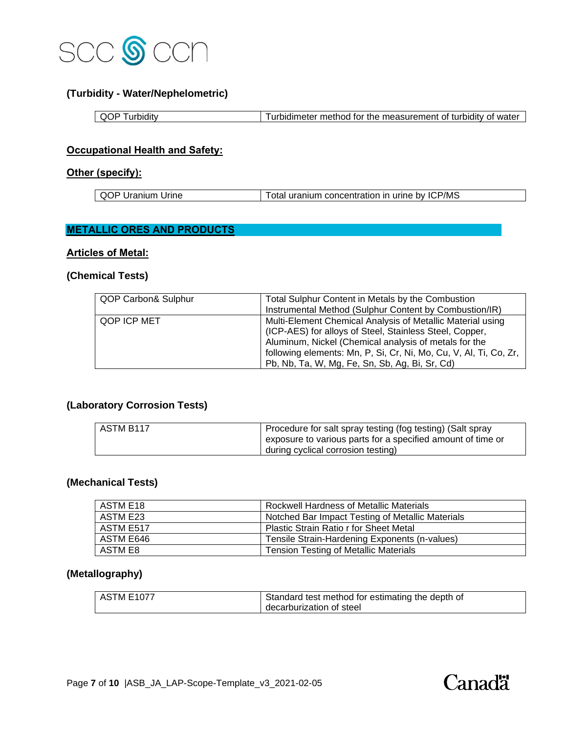

# **(Turbidity - Water/Nephelometric)**

| O<br>urbidity | Turbidimeter method for the measurement of turbidity of water |
|---------------|---------------------------------------------------------------|

### **Occupational Health and Safety:**

### **Other (specify):**

| QOP <sub>L</sub><br>∠r Uranium Uri<br><b>Jrine</b> | Total uranium concentration in urine by ICP/MS |  |
|----------------------------------------------------|------------------------------------------------|--|

# **METALLIC ORES AND PRODUCTS**

### **Articles of Metal:**

# **(Chemical Tests)**

| QOP Carbon& Sulphur | Total Sulphur Content in Metals by the Combustion<br>Instrumental Method (Sulphur Content by Combustion/IR)                                                                                                                                                                                           |
|---------------------|-------------------------------------------------------------------------------------------------------------------------------------------------------------------------------------------------------------------------------------------------------------------------------------------------------|
| QOP ICP MET         | Multi-Element Chemical Analysis of Metallic Material using<br>(ICP-AES) for alloys of Steel, Stainless Steel, Copper,<br>Aluminum, Nickel (Chemical analysis of metals for the<br>following elements: Mn, P, Si, Cr, Ni, Mo, Cu, V, Al, Ti, Co, Zr,<br>Pb, Nb, Ta, W, Mg, Fe, Sn, Sb, Ag, Bi, Sr, Cd) |

# **(Laboratory Corrosion Tests)**

| ASTM B117 | Procedure for salt spray testing (fog testing) (Salt spray  |
|-----------|-------------------------------------------------------------|
|           | exposure to various parts for a specified amount of time or |
|           | during cyclical corrosion testing)                          |

### **(Mechanical Tests)**

| ASTM E18  | <b>Rockwell Hardness of Metallic Materials</b>   |
|-----------|--------------------------------------------------|
| ASTM E23  | Notched Bar Impact Testing of Metallic Materials |
| ASTM E517 | <b>Plastic Strain Ratio r for Sheet Metal</b>    |
| ASTM E646 | Tensile Strain-Hardening Exponents (n-values)    |
| ASTM E8   | <b>Tension Testing of Metallic Materials</b>     |

# **(Metallography)**

| I ASTM E1077 | Standard test method for estimating the depth of |
|--------------|--------------------------------------------------|
|              | decarburization of steel                         |

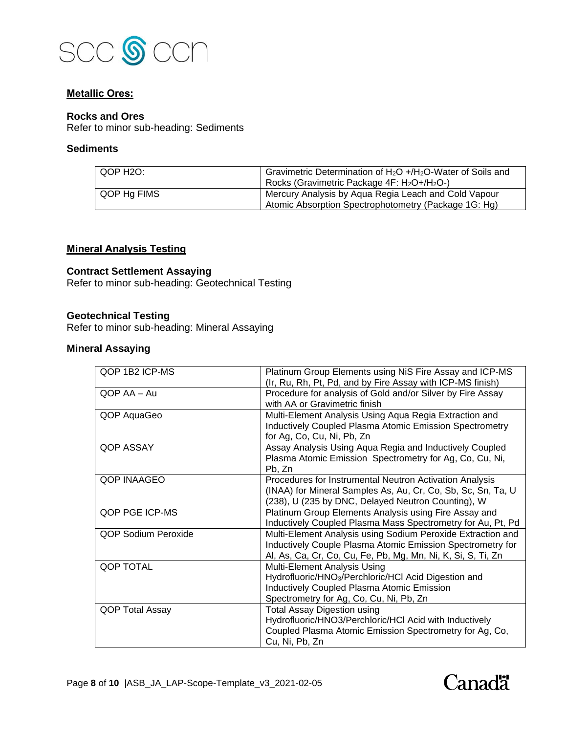

### **Metallic Ores:**

### **Rocks and Ores**

Refer to minor sub-heading: Sediments

## **Sediments**

| QOP H2O:    | Gravimetric Determination of $H_2O + H_2O$ -Water of Soils and<br>Rocks (Gravimetric Package 4F: H <sub>2</sub> O+/H <sub>2</sub> O-) |
|-------------|---------------------------------------------------------------------------------------------------------------------------------------|
| QOP Hg FIMS | Mercury Analysis by Aqua Regia Leach and Cold Vapour<br>Atomic Absorption Spectrophotometry (Package 1G: Hg)                          |

### **Mineral Analysis Testing**

# **Contract Settlement Assaying**

Refer to minor sub-heading: Geotechnical Testing

### **Geotechnical Testing**

Refer to minor sub-heading: Mineral Assaying

# **Mineral Assaying**

| QOP 1B2 ICP-MS      | Platinum Group Elements using NiS Fire Assay and ICP-MS          |
|---------------------|------------------------------------------------------------------|
|                     | (Ir, Ru, Rh, Pt, Pd, and by Fire Assay with ICP-MS finish)       |
| OOP AA - Au         | Procedure for analysis of Gold and/or Silver by Fire Assay       |
|                     | with AA or Gravimetric finish                                    |
| QOP AquaGeo         | Multi-Element Analysis Using Aqua Regia Extraction and           |
|                     | <b>Inductively Coupled Plasma Atomic Emission Spectrometry</b>   |
|                     | for Ag, Co, Cu, Ni, Pb, Zn                                       |
| QOP ASSAY           | Assay Analysis Using Aqua Regia and Inductively Coupled          |
|                     | Plasma Atomic Emission Spectrometry for Ag, Co, Cu, Ni,          |
|                     | Pb, Zn                                                           |
| QOP INAAGEO         | Procedures for Instrumental Neutron Activation Analysis          |
|                     | (INAA) for Mineral Samples As, Au, Cr, Co, Sb, Sc, Sn, Ta, U     |
|                     | (238), U (235 by DNC, Delayed Neutron Counting), W               |
| QOP PGE ICP-MS      | Platinum Group Elements Analysis using Fire Assay and            |
|                     | Inductively Coupled Plasma Mass Spectrometry for Au, Pt, Pd      |
| QOP Sodium Peroxide | Multi-Element Analysis using Sodium Peroxide Extraction and      |
|                     | Inductively Couple Plasma Atomic Emission Spectrometry for       |
|                     | Al, As, Ca, Cr, Co, Cu, Fe, Pb, Mg, Mn, Ni, K, Si, S, Ti, Zn     |
| QOP TOTAL           | Multi-Element Analysis Using                                     |
|                     | Hydrofluoric/HNO <sub>3</sub> /Perchloric/HCl Acid Digestion and |
|                     | <b>Inductively Coupled Plasma Atomic Emission</b>                |
|                     | Spectrometry for Ag, Co, Cu, Ni, Pb, Zn                          |
| QOP Total Assay     | <b>Total Assay Digestion using</b>                               |
|                     | Hydrofluoric/HNO3/Perchloric/HCl Acid with Inductively           |
|                     | Coupled Plasma Atomic Emission Spectrometry for Ag, Co,          |
|                     | Cu, Ni, Pb, Zn                                                   |

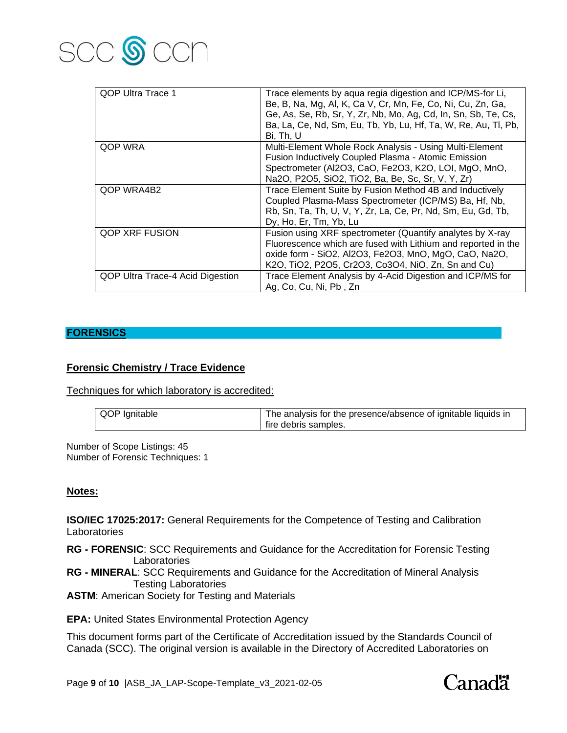

| QOP Ultra Trace 1                | Trace elements by aqua regia digestion and ICP/MS-for Li,<br>Be, B, Na, Mg, Al, K, Ca V, Cr, Mn, Fe, Co, Ni, Cu, Zn, Ga,<br>Ge, As, Se, Rb, Sr, Y, Zr, Nb, Mo, Ag, Cd, In, Sn, Sb, Te, Cs,<br>Ba, La, Ce, Nd, Sm, Eu, Tb, Yb, Lu, Hf, Ta, W, Re, Au, Tl, Pb,<br>Bi, Th, U |
|----------------------------------|---------------------------------------------------------------------------------------------------------------------------------------------------------------------------------------------------------------------------------------------------------------------------|
| QOP WRA                          | Multi-Element Whole Rock Analysis - Using Multi-Element<br>Fusion Inductively Coupled Plasma - Atomic Emission<br>Spectrometer (Al2O3, CaO, Fe2O3, K2O, LOI, MgO, MnO,<br>Na2O, P2O5, SiO2, TiO2, Ba, Be, Sc, Sr, V, Y, Zr)                                               |
| QOP WRA4B2                       | Trace Element Suite by Fusion Method 4B and Inductively<br>Coupled Plasma-Mass Spectrometer (ICP/MS) Ba, Hf, Nb,<br>Rb, Sn, Ta, Th, U, V, Y, Zr, La, Ce, Pr, Nd, Sm, Eu, Gd, Tb,<br>Dy, Ho, Er, Tm, Yb, Lu                                                                |
| QOP XRF FUSION                   | Fusion using XRF spectrometer (Quantify analytes by X-ray<br>Fluorescence which are fused with Lithium and reported in the<br>oxide form - SiO2, Al2O3, Fe2O3, MnO, MgO, CaO, Na2O,<br>K2O, TiO2, P2O5, Cr2O3, Co3O4, NiO, Zn, Sn and Cu)                                 |
| QOP Ultra Trace-4 Acid Digestion | Trace Element Analysis by 4-Acid Digestion and ICP/MS for<br>Ag, Co, Cu, Ni, Pb, Zn                                                                                                                                                                                       |

### **FORENSICS**

### **Forensic Chemistry / Trace Evidence**

Techniques for which laboratory is accredited:

| QOP Ignitable | The analysis for the presence/absence of ignitable liquids in |
|---------------|---------------------------------------------------------------|
|               | fire debris samples.                                          |

Number of Scope Listings: 45 Number of Forensic Techniques: 1

### **Notes:**

**ISO/IEC 17025:2017:** General Requirements for the Competence of Testing and Calibration **Laboratories** 

- **RG - FORENSIC**: SCC Requirements and Guidance for the Accreditation for Forensic Testing Laboratories
- **RG - MINERAL**: SCC Requirements and Guidance for the Accreditation of Mineral Analysis Testing Laboratories

**ASTM: American Society for Testing and Materials** 

**EPA:** United States Environmental Protection Agency

This document forms part of the Certificate of Accreditation issued by the Standards Council of Canada (SCC). The original version is available in the Directory of Accredited Laboratories on

Page **9** of **10** |ASB\_JA\_LAP-Scope-Template\_v3\_2021-02-05